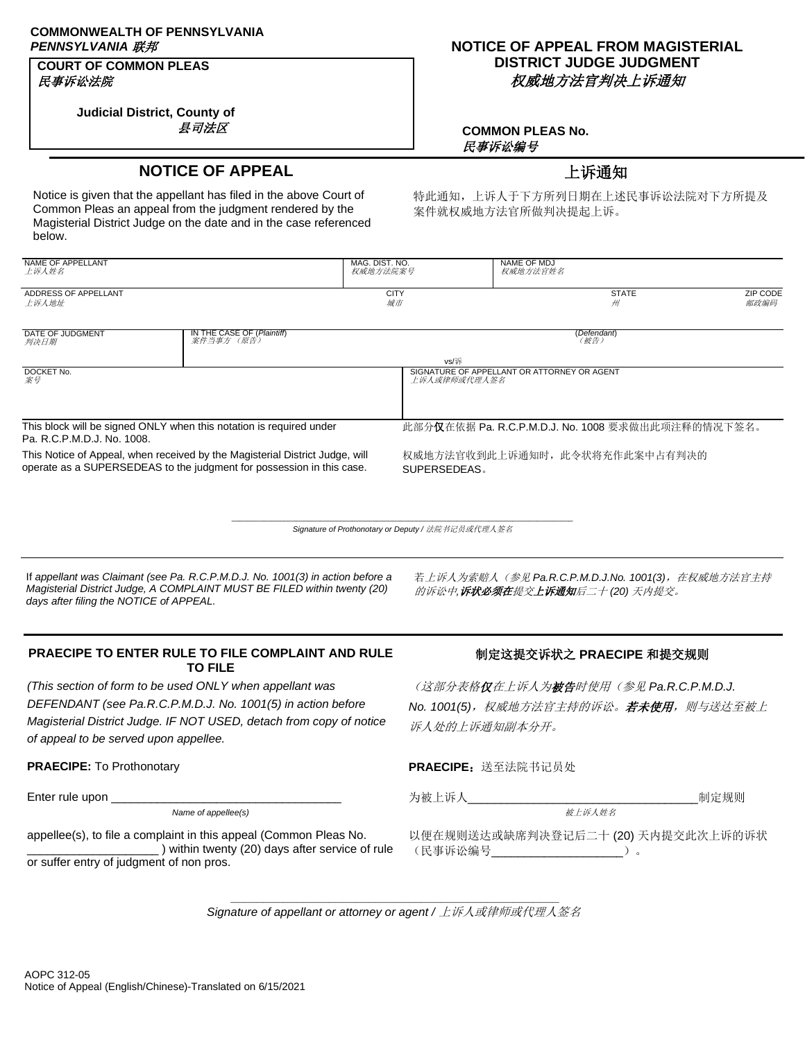# **COMMONWEALTH OF PENNSYLVANIA**

## **COURT OF COMMON PLEAS** 民事诉讼法院

**Judicial District, County of** 县司法区

# *PENNSYLVANIA* 联邦 **NOTICE OF APPEAL FROM MAGISTERIAL DISTRICT JUDGE JUDGMENT** 权威地方法官判决上诉通知

**COMMON PLEAS No.** 民事诉讼编号

# **NOTICE OF APPEAL NOTICE OF APPEAL**

Notice is given that the appellant has filed in the above Court of Common Pleas an appeal from the judgment rendered by the Magisterial District Judge on the date and in the case referenced below.

特此通知,上诉人于下方所列日期在上述民事诉讼法院对下方所提及 案件就权威地方法官所做判决提起上诉。

| NAME OF APPELLANT<br>上诉人姓名                                                                                                                            |                                                        | MAG. DIST. NO.<br>权威地方法院案号 | <b>NAME OF MDJ</b><br>权威地方法官姓名                              |                         |  |
|-------------------------------------------------------------------------------------------------------------------------------------------------------|--------------------------------------------------------|----------------------------|-------------------------------------------------------------|-------------------------|--|
| ADDRESS OF APPELLANT<br>上诉人地址                                                                                                                         |                                                        | <b>CITY</b><br>城市          | <b>STATE</b><br>₩                                           | <b>ZIP CODE</b><br>邮政编码 |  |
| DATE OF JUDGMENT<br>判决日期                                                                                                                              | <b>IN THE CASE OF (<i>Plaintiff</i>)</b><br>案件当事方 (原告) |                            | (Defendant)<br>(被告)                                         |                         |  |
| DOCKET No.<br>案号                                                                                                                                      |                                                        | vs/诉                       | SIGNATURE OF APPELLANT OR ATTORNEY OR AGENT<br>上诉人或律师或代理人签名 |                         |  |
|                                                                                                                                                       |                                                        |                            |                                                             |                         |  |
| This block will be signed ONLY when this notation is required under<br>Pa. R.C.P.M.D.J. No. 1008.                                                     |                                                        |                            | 此部分仅在依据 Pa. R.C.P.M.D.J. No. 1008 要求做出此项注释的情况下签名。           |                         |  |
| This Notice of Appeal, when received by the Magisterial District Judge, will<br>operate as a SUPERSEDEAS to the judgment for possession in this case. |                                                        | SUPERSEDEAS.               | 权威地方法官收到此上诉通知时,此令状将充作此案中占有判决的                               |                         |  |

 $\_$  , and the set of the set of the set of the set of the set of the set of the set of the set of the set of the set of the set of the set of the set of the set of the set of the set of the set of the set of the set of th *Signature of Prothonotary or Deputy /* 法院书记员或代理人签名

If *appellant was Claimant (see Pa. R.C.P.M.D.J. No. 1001(3) in action before a Magisterial District Judge, A COMPLAINT MUST BE FILED within twenty (20) days after filing the NOTICE of APPEAL.*

若上诉人为索赔人(参见 Pa.R.C.P.M.D.J.No. 1001(3), 在权威地方法官主持 的诉讼中*,*诉状必须在提交上诉通知后二十 *(20)* 天内提交。

## **PRAECIPE TO ENTER RULE TO FILE COMPLAINT AND RULE TO FILE**

*(This section of form to be used ONLY when appellant was DEFENDANT (see Pa.R.C.P.M.D.J. No. 1001(5) in action before Magisterial District Judge. IF NOT USED, detach from copy of notice of appeal to be served upon appellee.*

*Name of appellee(s)* 被上诉人姓名

appellee(s), to file a complaint in this appeal (Common Pleas No. \_\_\_\_\_\_\_\_\_\_\_\_\_\_\_\_\_\_\_\_ ) within twenty (20) days after service of rule or suffer entry of judgment of non pros.

## 制定这提交诉状之 **PRAECIPE** 和提交规则

(这部分表格仅在上诉人为被告时使用(参见 *Pa.R.C.P.M.D.J. No. 1001(5)*,权威地方法官主持的诉讼。若未使用,则与送达至被上 诉人处的上诉通知副本分开。

**PRAECIPE: To Prothonotary Web Prothonotary PRAECIPE: 送至法院书记员处** 

Enter rule upon \_\_\_\_\_\_\_\_\_\_\_\_\_\_\_\_\_\_\_\_\_\_\_\_\_\_\_\_\_\_\_\_\_\_\_ 为被上诉人\_\_\_\_\_\_\_\_\_\_\_\_\_\_\_\_\_\_\_\_\_\_\_\_\_\_\_\_\_\_\_\_\_\_\_制定规则

以便在规则送达或缺席判决登记后二十 (20) 天内提交此次上诉的诉状 (民事诉讼编号\_\_\_\_\_\_\_\_\_\_\_\_\_\_\_\_\_\_\_\_)。

**\_\_\_\_\_\_\_\_\_\_\_\_\_\_\_\_\_\_\_\_\_\_\_\_\_\_\_\_\_\_\_\_\_\_\_\_\_\_\_\_\_\_\_\_\_\_\_\_\_\_** *Signature of appellant or attorney or agent /* 上诉人或律师或代理人签名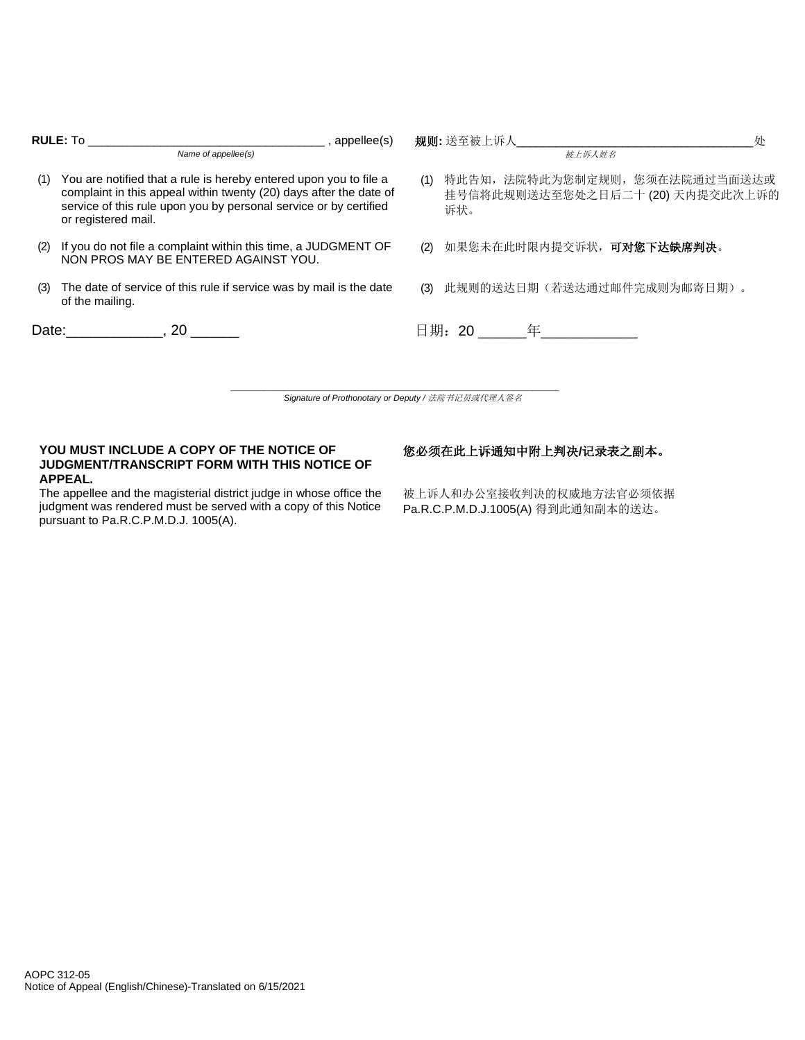| <b>RULE: To</b><br>, appellee(s) |                                                                                                                                                                                                                                     | 规则:送至被上诉人<br>朴                                                                   |  |
|----------------------------------|-------------------------------------------------------------------------------------------------------------------------------------------------------------------------------------------------------------------------------------|----------------------------------------------------------------------------------|--|
|                                  | Name of appellee(s)                                                                                                                                                                                                                 | 被上诉人姓名                                                                           |  |
| (1)                              | You are notified that a rule is hereby entered upon you to file a<br>complaint in this appeal within twenty (20) days after the date of<br>service of this rule upon you by personal service or by certified<br>or registered mail. | 特此告知, 法院特此为您制定规则, 您须在法院通过当面送达或<br>(1)<br>挂号信将此规则送达至您处之日后二十 (20) 天内提交此次上诉的<br>诉状。 |  |
| (2)                              | If you do not file a complaint within this time, a JUDGMENT OF<br>NON PROS MAY BE ENTERED AGAINST YOU.                                                                                                                              | 如果您未在此时限内提交诉状, <b>可对您下达缺席判决</b> 。<br>(2)                                         |  |
| (3)                              | The date of service of this rule if service was by mail is the date<br>of the mailing.                                                                                                                                              | 此规则的送达日期(若送达通过邮件完成则为邮寄日期)。<br>(3)                                                |  |
|                                  | Date: 20                                                                                                                                                                                                                            |                                                                                  |  |
|                                  |                                                                                                                                                                                                                                     |                                                                                  |  |
|                                  |                                                                                                                                                                                                                                     | Signature of Prothonotary or Deputy / 法院书记员或代理人签名                                |  |

**YOU MUST INCLUDE A COPY OF THE NOTICE OF JUDGMENT/TRANSCRIPT FORM WITH THIS NOTICE OF APPEAL.**

您必须在此上诉通知中附上判决**/**记录表之副本。

The appellee and the magisterial district judge in whose office the judgment was rendered must be served with a copy of this Notice pursuant to Pa.R.C.P.M.D.J. 1005(A).

被上诉人和办公室接收判决的权威地方法官必须依据 Pa.R.C.P.M.D.J.1005(A) 得到此通知副本的送达。